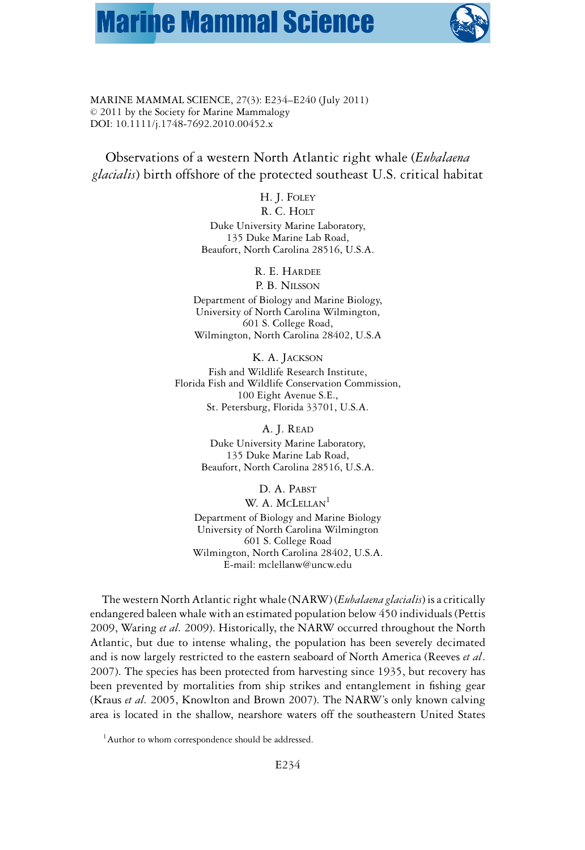## **Marine Mammal Science**



MARINE MAMMAL SCIENCE, 27(3): E234–E240 (July 2011)  $© 2011$  by the Society for Marine Mammalogy DOI: 10.1111/j.1748-7692.2010.00452.x

Observations of a western North Atlantic right whale (*Eubalaena glacialis*) birth offshore of the protected southeast U.S. critical habitat

> H. J. FOLEY R. C. HOLT

Duke University Marine Laboratory, 135 Duke Marine Lab Road, Beaufort, North Carolina 28516, U.S.A.

R. E. HARDEE

P. B. NILSSON Department of Biology and Marine Biology, University of North Carolina Wilmington, 601 S. College Road,

Wilmington, North Carolina 28402, U.S.A

K. A. JACKSON Fish and Wildlife Research Institute, Florida Fish and Wildlife Conservation Commission, 100 Eight Avenue S.E., St. Petersburg, Florida 33701, U.S.A.

> A. J. READ Duke University Marine Laboratory, 135 Duke Marine Lab Road, Beaufort, North Carolina 28516, U.S.A.

D. A. PABST W. A. MCLELLAN<sup>1</sup> Department of Biology and Marine Biology University of North Carolina Wilmington 601 S. College Road Wilmington, North Carolina 28402, U.S.A. E-mail: mclellanw@uncw.edu

The western North Atlantic right whale (NARW) (*Eubalaena glacialis*) is a critically endangered baleen whale with an estimated population below 450 individuals (Pettis 2009, Waring *et al.* 2009). Historically, the NARW occurred throughout the North Atlantic, but due to intense whaling, the population has been severely decimated and is now largely restricted to the eastern seaboard of North America (Reeves *et al*. 2007). The species has been protected from harvesting since 1935, but recovery has been prevented by mortalities from ship strikes and entanglement in fishing gear (Kraus *et al.* 2005, Knowlton and Brown 2007). The NARW's only known calving area is located in the shallow, nearshore waters off the southeastern United States

<sup>&</sup>lt;sup>1</sup> Author to whom correspondence should be addressed.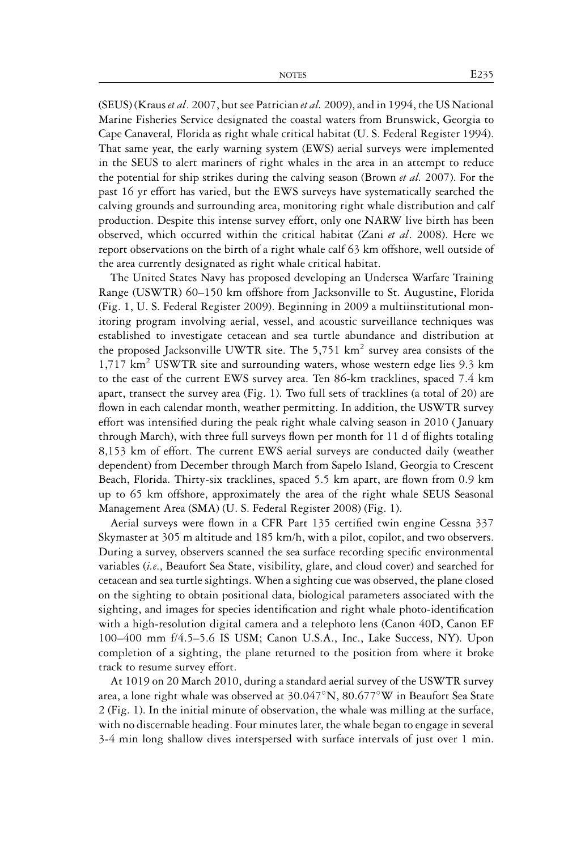(SEUS) (Kraus *et al*. 2007, but see Patrician *et al.* 2009), and in 1994, the US National Marine Fisheries Service designated the coastal waters from Brunswick, Georgia to Cape Canaveral*,* Florida as right whale critical habitat (U. S. Federal Register 1994). That same year, the early warning system (EWS) aerial surveys were implemented in the SEUS to alert mariners of right whales in the area in an attempt to reduce the potential for ship strikes during the calving season (Brown *et al.* 2007). For the past 16 yr effort has varied, but the EWS surveys have systematically searched the calving grounds and surrounding area, monitoring right whale distribution and calf production. Despite this intense survey effort, only one NARW live birth has been observed, which occurred within the critical habitat (Zani *et al*. 2008). Here we report observations on the birth of a right whale calf 63 km offshore, well outside of the area currently designated as right whale critical habitat.

The United States Navy has proposed developing an Undersea Warfare Training Range (USWTR) 60–150 km offshore from Jacksonville to St. Augustine, Florida (Fig. 1, U. S. Federal Register 2009). Beginning in 2009 a multiinstitutional monitoring program involving aerial, vessel, and acoustic surveillance techniques was established to investigate cetacean and sea turtle abundance and distribution at the proposed Jacksonville UWTR site. The 5,751  $km^2$  survey area consists of the  $1,717$  km<sup>2</sup> USWTR site and surrounding waters, whose western edge lies 9.3 km to the east of the current EWS survey area. Ten 86-km tracklines, spaced 7.4 km apart, transect the survey area (Fig. 1). Two full sets of tracklines (a total of 20) are flown in each calendar month, weather permitting. In addition, the USWTR survey effort was intensified during the peak right whale calving season in 2010 ( January through March), with three full surveys flown per month for 11 d of flights totaling 8,153 km of effort. The current EWS aerial surveys are conducted daily (weather dependent) from December through March from Sapelo Island, Georgia to Crescent Beach, Florida. Thirty-six tracklines, spaced 5.5 km apart, are flown from 0.9 km up to 65 km offshore, approximately the area of the right whale SEUS Seasonal Management Area (SMA) (U. S. Federal Register 2008) (Fig. 1).

Aerial surveys were flown in a CFR Part 135 certified twin engine Cessna 337 Skymaster at 305 m altitude and 185 km/h, with a pilot, copilot, and two observers. During a survey, observers scanned the sea surface recording specific environmental variables (*i.e*., Beaufort Sea State, visibility, glare, and cloud cover) and searched for cetacean and sea turtle sightings. When a sighting cue was observed, the plane closed on the sighting to obtain positional data, biological parameters associated with the sighting, and images for species identification and right whale photo-identification with a high-resolution digital camera and a telephoto lens (Canon 40D, Canon EF 100–400 mm f/4.5–5.6 IS USM; Canon U.S.A., Inc., Lake Success, NY). Upon completion of a sighting, the plane returned to the position from where it broke track to resume survey effort.

At 1019 on 20 March 2010, during a standard aerial survey of the USWTR survey area, a lone right whale was observed at 30.047◦N, 80.677◦W in Beaufort Sea State 2 (Fig. 1). In the initial minute of observation, the whale was milling at the surface, with no discernable heading. Four minutes later, the whale began to engage in several 3-4 min long shallow dives interspersed with surface intervals of just over 1 min.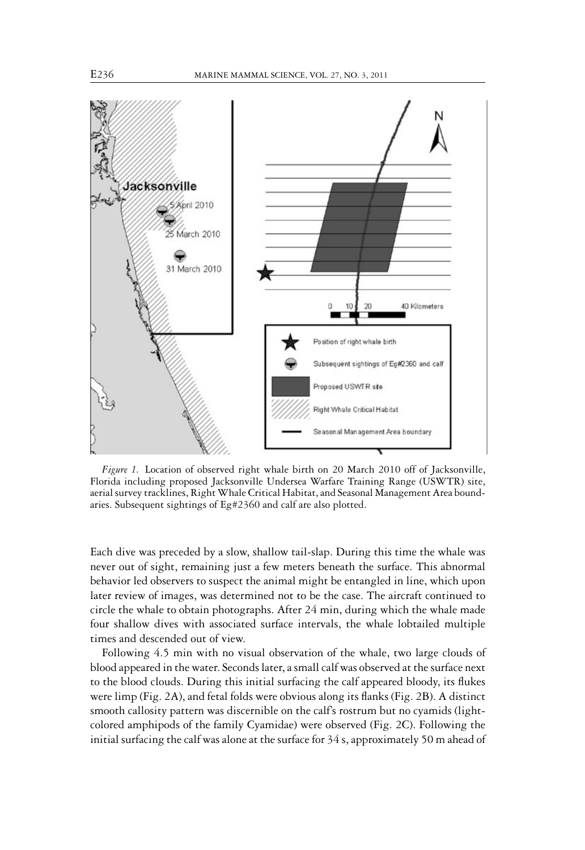

*Figure 1.* Location of observed right whale birth on 20 March 2010 off of Jacksonville, Florida including proposed Jacksonville Undersea Warfare Training Range (USWTR) site, aerial survey tracklines, RightWhale Critical Habitat, and Seasonal Management Area boundaries. Subsequent sightings of Eg#2360 and calf are also plotted.

Each dive was preceded by a slow, shallow tail-slap. During this time the whale was never out of sight, remaining just a few meters beneath the surface. This abnormal behavior led observers to suspect the animal might be entangled in line, which upon later review of images, was determined not to be the case. The aircraft continued to circle the whale to obtain photographs. After 24 min, during which the whale made four shallow dives with associated surface intervals, the whale lobtailed multiple times and descended out of view.

Following 4.5 min with no visual observation of the whale, two large clouds of blood appeared in the water. Seconds later, a small calf was observed at the surface next to the blood clouds. During this initial surfacing the calf appeared bloody, its flukes were limp (Fig. 2A), and fetal folds were obvious along its flanks (Fig. 2B). A distinct smooth callosity pattern was discernible on the calf's rostrum but no cyamids (lightcolored amphipods of the family Cyamidae) were observed (Fig. 2C). Following the initial surfacing the calf was alone at the surface for 34 s, approximately 50 m ahead of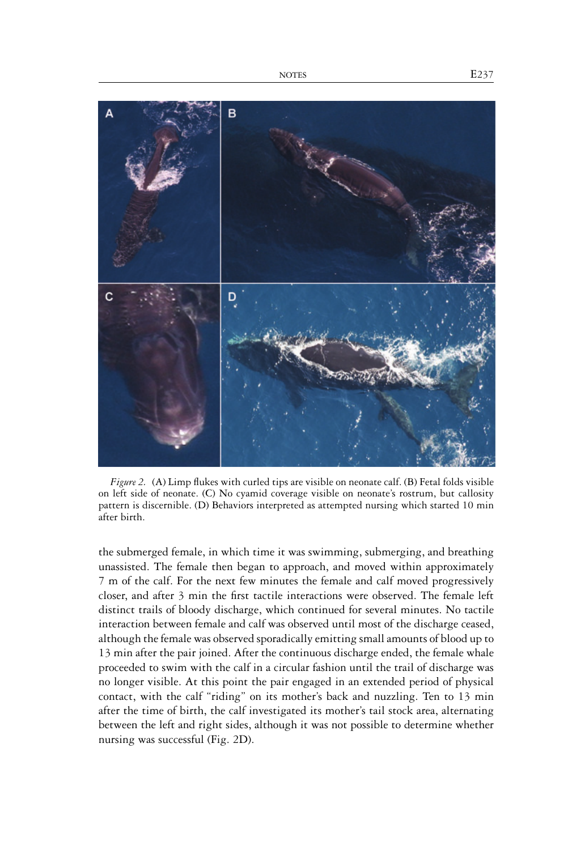

*Figure 2.* (A) Limp flukes with curled tips are visible on neonate calf. (B) Fetal folds visible on left side of neonate. (C) No cyamid coverage visible on neonate's rostrum, but callosity pattern is discernible. (D) Behaviors interpreted as attempted nursing which started 10 min after birth.

the submerged female, in which time it was swimming, submerging, and breathing unassisted. The female then began to approach, and moved within approximately 7 m of the calf. For the next few minutes the female and calf moved progressively closer, and after 3 min the first tactile interactions were observed. The female left distinct trails of bloody discharge, which continued for several minutes. No tactile interaction between female and calf was observed until most of the discharge ceased, although the female was observed sporadically emitting small amounts of blood up to 13 min after the pair joined. After the continuous discharge ended, the female whale proceeded to swim with the calf in a circular fashion until the trail of discharge was no longer visible. At this point the pair engaged in an extended period of physical contact, with the calf "riding" on its mother's back and nuzzling. Ten to 13 min after the time of birth, the calf investigated its mother's tail stock area, alternating between the left and right sides, although it was not possible to determine whether nursing was successful (Fig. 2D).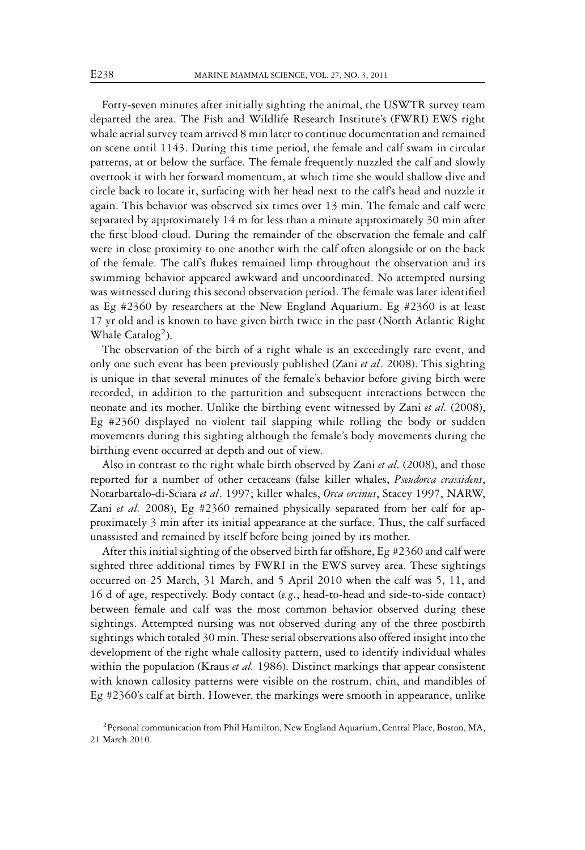Forty-seven minutes after initially sighting the animal, the USWTR survey team departed the area. The Fish and Wildlife Research Institute's (FWRI) EWS right whale aerial survey team arrived 8 min later to continue documentation and remained on scene until 1143. During this time period, the female and calf swam in circular patterns, at or below the surface. The female frequently nuzzled the calf and slowly overtook it with her forward momentum, at which time she would shallow dive and circle back to locate it, surfacing with her head next to the calf's head and nuzzle it again. This behavior was observed six times over 13 min. The female and calf were separated by approximately 14 m for less than a minute approximately 30 min after the first blood cloud. During the remainder of the observation the female and calf were in close proximity to one another with the calf often alongside or on the back of the female. The calf's flukes remained limp throughout the observation and its swimming behavior appeared awkward and uncoordinated. No attempted nursing was witnessed during this second observation period. The female was later identified as Eg #2360 by researchers at the New England Aquarium. Eg #2360 is at least 17 yr old and is known to have given birth twice in the past (North Atlantic Right Whale  $\text{Catalog}^2$ ).

The observation of the birth of a right whale is an exceedingly rare event, and only one such event has been previously published (Zani *et al*. 2008). This sighting is unique in that several minutes of the female's behavior before giving birth were recorded, in addition to the parturition and subsequent interactions between the neonate and its mother. Unlike the birthing event witnessed by Zani *et al.* (2008), Eg #2360 displayed no violent tail slapping while rolling the body or sudden movements during this sighting although the female's body movements during the birthing event occurred at depth and out of view.

Also in contrast to the right whale birth observed by Zani *et al.* (2008), and those reported for a number of other cetaceans (false killer whales, *Pseudorca crassidens*, Notarbartalo-di-Sciara *et al*. 1997; killer whales, *Orca orcinus*, Stacey 1997, NARW, Zani *et al.* 2008), Eg #2360 remained physically separated from her calf for approximately 3 min after its initial appearance at the surface. Thus, the calf surfaced unassisted and remained by itself before being joined by its mother.

After this initial sighting of the observed birth far offshore, Eg #2360 and calf were sighted three additional times by FWRI in the EWS survey area. These sightings occurred on 25 March, 31 March, and 5 April 2010 when the calf was 5, 11, and 16 d of age, respectively. Body contact (*e.g*., head-to-head and side-to-side contact) between female and calf was the most common behavior observed during these sightings. Attempted nursing was not observed during any of the three postbirth sightings which totaled 30 min. These serial observations also offered insight into the development of the right whale callosity pattern, used to identify individual whales within the population (Kraus *et al.* 1986). Distinct markings that appear consistent with known callosity patterns were visible on the rostrum, chin, and mandibles of Eg #2360's calf at birth. However, the markings were smooth in appearance, unlike

<sup>&</sup>lt;sup>2</sup> Personal communication from Phil Hamilton, New England Aquarium, Central Place, Boston, MA, 21 March 2010.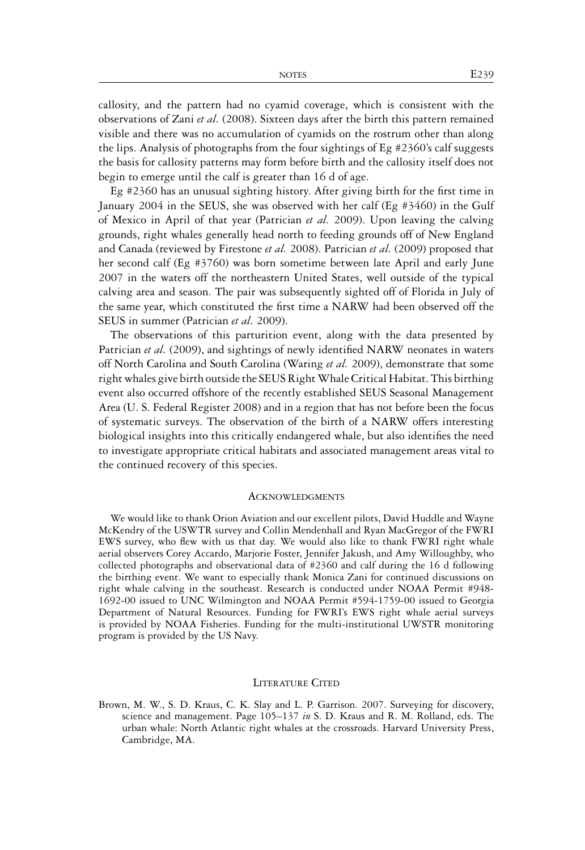callosity, and the pattern had no cyamid coverage, which is consistent with the observations of Zani *et al.* (2008). Sixteen days after the birth this pattern remained visible and there was no accumulation of cyamids on the rostrum other than along the lips. Analysis of photographs from the four sightings of Eg #2360's calf suggests the basis for callosity patterns may form before birth and the callosity itself does not begin to emerge until the calf is greater than 16 d of age.

Eg #2360 has an unusual sighting history. After giving birth for the first time in January 2004 in the SEUS, she was observed with her calf (Eg #3460) in the Gulf of Mexico in April of that year (Patrician *et al.* 2009). Upon leaving the calving grounds, right whales generally head north to feeding grounds off of New England and Canada (reviewed by Firestone *et al.* 2008). Patrician *et al.* (2009) proposed that her second calf (Eg #3760) was born sometime between late April and early June 2007 in the waters off the northeastern United States, well outside of the typical calving area and season. The pair was subsequently sighted off of Florida in July of the same year, which constituted the first time a NARW had been observed off the SEUS in summer (Patrician *et al.* 2009).

The observations of this parturition event, along with the data presented by Patrician *et al.* (2009), and sightings of newly identified NARW neonates in waters off North Carolina and South Carolina (Waring *et al.* 2009), demonstrate that some right whales give birth outside the SEUS RightWhale Critical Habitat. This birthing event also occurred offshore of the recently established SEUS Seasonal Management Area (U. S. Federal Register 2008) and in a region that has not before been the focus of systematic surveys. The observation of the birth of a NARW offers interesting biological insights into this critically endangered whale, but also identifies the need to investigate appropriate critical habitats and associated management areas vital to the continued recovery of this species.

## ACKNOWI EDGMENTS

We would like to thank Orion Aviation and our excellent pilots, David Huddle and Wayne McKendry of the USWTR survey and Collin Mendenhall and Ryan MacGregor of the FWRI EWS survey, who flew with us that day. We would also like to thank FWRI right whale aerial observers Corey Accardo, Marjorie Foster, Jennifer Jakush, and Amy Willoughby, who collected photographs and observational data of #2360 and calf during the 16 d following the birthing event. We want to especially thank Monica Zani for continued discussions on right whale calving in the southeast. Research is conducted under NOAA Permit #948- 1692-00 issued to UNC Wilmington and NOAA Permit #594-1759-00 issued to Georgia Department of Natural Resources. Funding for FWRI's EWS right whale aerial surveys is provided by NOAA Fisheries. Funding for the multi-institutional UWSTR monitoring program is provided by the US Navy.

## LITERATURE CITED

Brown, M. W., S. D. Kraus, C. K. Slay and L. P. Garrison. 2007. Surveying for discovery, science and management. Page 105–137 *in* S. D. Kraus and R. M. Rolland, eds. The urban whale: North Atlantic right whales at the crossroads. Harvard University Press, Cambridge, MA.